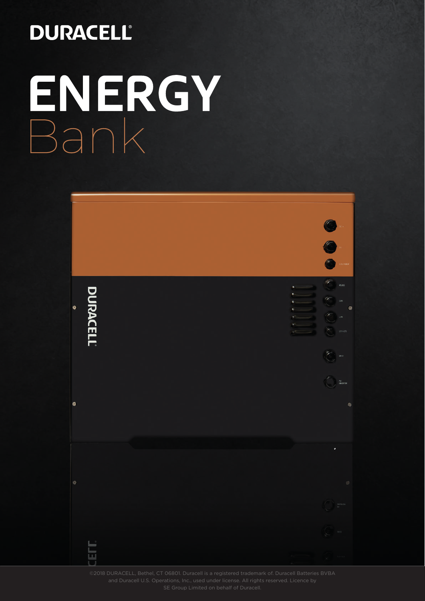# **DURACELL®** ENERGY<br>Bank



SE Group Limited on behalf of Duracell.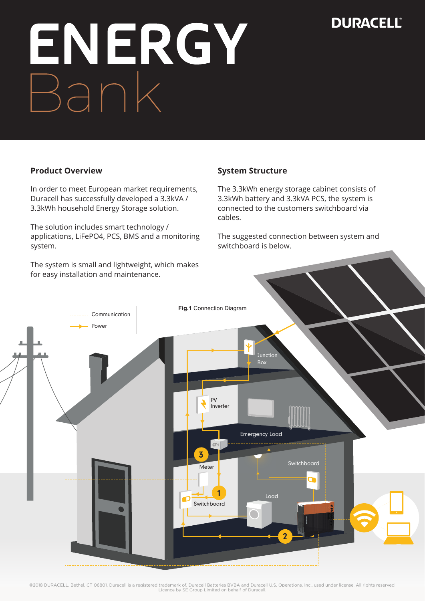# ENERGY Bank

#### **Product Overview**

In order to meet European market requirements, Duracell has successfully developed a 3.3kVA / 3.3kWh household Energy Storage solution.

The solution includes smart technology / applications, LiFePO4, PCS, BMS and a monitoring system.

The system is small and lightweight, which makes for easy installation and maintenance.

#### **System Structure**

The 3.3kWh energy storage cabinet consists of 3.3kWh battery and 3.3kVA PCS, the system is connected to the customers switchboard via cables.

The suggested connection between system and switchboard is below.

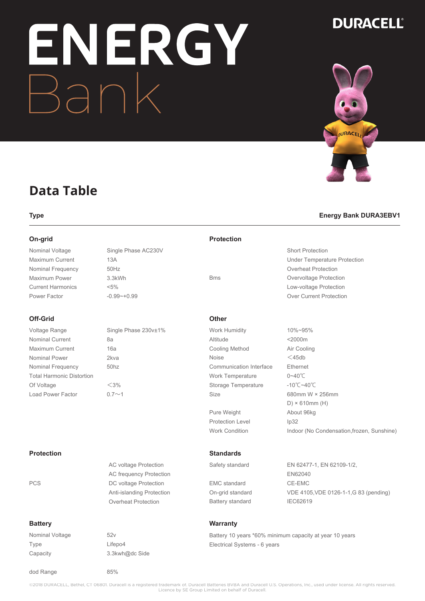# NERGY

# **DURACELL®**



### **Data Table**

Nominal Voltage Single Phase AC230V Maximum Current 13A Nominal Frequency 50Hz Maximum Power 3.3kWh Current Harmonics <5% Power Factor -0.99~+0.99

#### **Off-Grid**

Voltage Range Single Phase 230v±1% Nominal Current 8a Maximum Current 16a Nominal Power 2kva Nominal Frequency 50hz Total Harmonic Distortion Of Voltage  $<$ 3% Load Power Factor  $0.7 \sim 1$ 

**Protection**

#### PCS DC voltage Protection

#### **Battery**

Nominal Voltage 52v Type Lifepo4 Capacity 3.3kwh@dc Side

dod Range 85%

AC voltage Protection AC frequency Protection

Anti-islanding Protection Overheat Protection

#### **On-grid Protection**

|            | <b>Short Protection</b>        |
|------------|--------------------------------|
|            | Under Temperature Protection   |
|            | Overheat Protection            |
| <b>Bms</b> | Overvoltage Protection         |
|            | Low-voltage Protection         |
|            | <b>Over Current Protection</b> |
|            |                                |

#### **Other**

Work Humidity 10%~95% Altitude <2000m Cooling Method Air Cooling Noise <45db Communication Interface Ethernet Work Temperature 0~40℃ Storage Temperature -10℃~40℃ Size 680mm W × 256mm

Pure Weight About 96kg Protection Level 1p32 Work Condition Indoor (No Condensation, frozen, Sunshine)

#### **Standards**

EMC standard CE-EMC Battery standard IEC62619

Safety standard EN 62477-1, EN 62109-1/2, EN62040 On-grid standard VDE 4105,VDE 0126-1-1,G 83 (pending)

D) × 610mm (H)

#### **Warranty**

Battery 10 years \*60% minimum capacity at year 10 years Electrical Systems - 6 years

# **Type Energy Bank DURA3EBV1**

©2018 DURACELL, Bethel, CT 06801. Duracell is a registered trademark of. Duracell Batteries BVBA and Duracell U.S. Operations, Inc., used under license. All rights reserved. Licence by SE Group Limited on behalf of Duracell.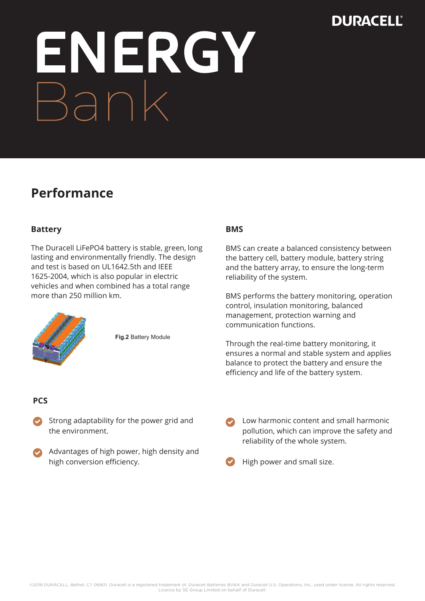# ENERGY<br>Bank

## **Performance**

#### **Battery**

The Duracell LiFePO4 battery is stable, green, long lasting and environmentally friendly. The design and test is based on UL1642.5th and IEEE 1625-2004, which is also popular in electric vehicles and when combined has a total range more than 250 million km.



**Fig.2** Battery Module

#### **BMS**

BMS can create a balanced consistency between the battery cell, battery module, battery string and the battery array, to ensure the long-term reliability of the system.

BMS performs the battery monitoring, operation control, insulation monitoring, balanced management, protection warning and communication functions.

Through the real-time battery monitoring, it ensures a normal and stable system and applies balance to protect the battery and ensure the efficiency and life of the battery system.

#### **PCS**

- Strong adaptability for the power grid and the environment.
- Advantages of high power, high density and high conversion efficiency.

Low harmonic content and small harmonic pollution, which can improve the safety and reliability of the whole system.

High power and small size.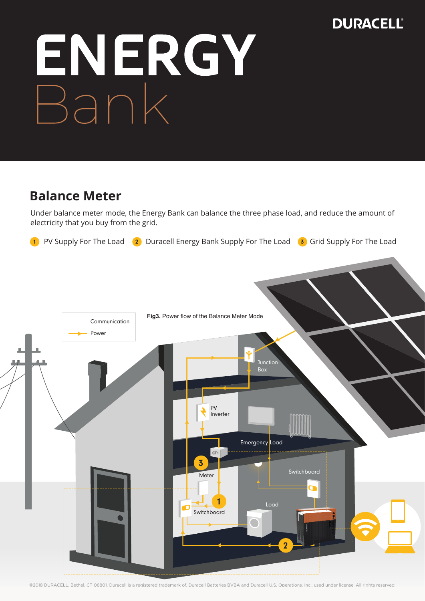

### **Balance Meter**

Under balance meter mode, the Energy Bank can balance the three phase load, and reduce the amount of electricity that you buy from the grid.

**1** PV Supply For The Load **2** Duracell Energy Bank Supply For The Load **3** Grid Supply For The Load



©2018 DURACELL, Bethel, CT 06801. Duracell is a registered trademark of. Duracell Batteries BVBA and Duracell U.S. Operations, Inc., used under license. All rights reserved.